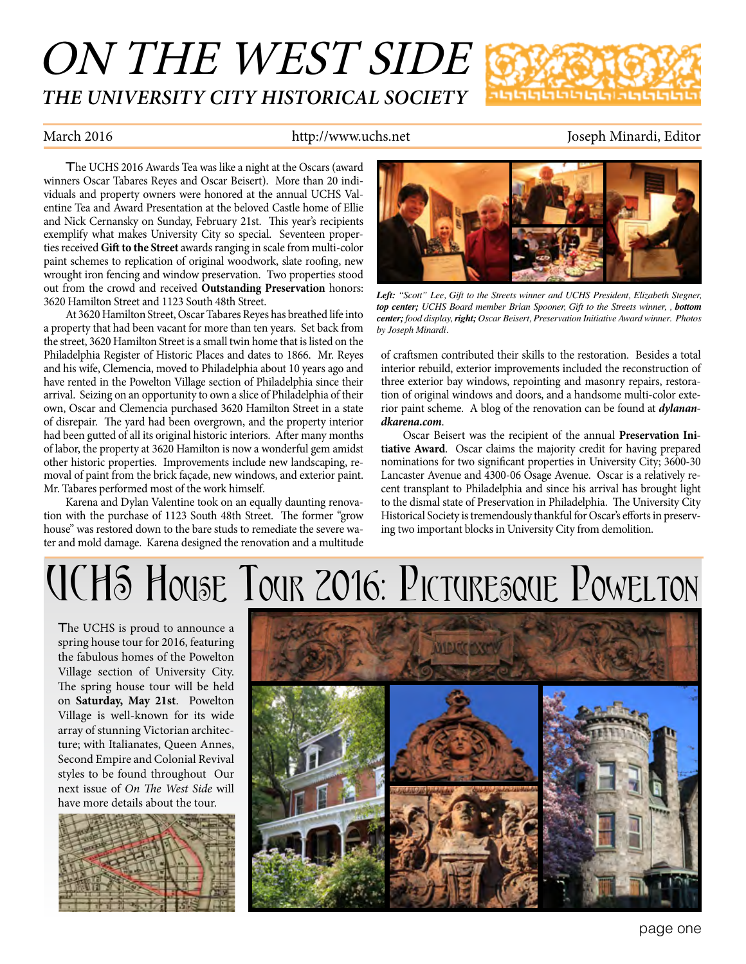## ON THE WEST SIDE *THE UNIVERSITY CITY HISTORICAL SOCIETY*



### March 2016 **http://www.uchs.net** Joseph Minardi, Editor

The UCHS 2016 Awards Tea was like a night at the Oscars (award winners Oscar Tabares Reyes and Oscar Beisert). More than 20 individuals and property owners were honored at the annual UCHS Valentine Tea and Award Presentation at the beloved Castle home of Ellie and Nick Cernansky on Sunday, February 21st. This year's recipients exemplify what makes University City so special. Seventeen properties received **Gift to the Street** awards ranging in scale from multi-color paint schemes to replication of original woodwork, slate roofing, new wrought iron fencing and window preservation. Two properties stood out from the crowd and received **Outstanding Preservation** honors: 3620 Hamilton Street and 1123 South 48th Street.

At 3620 Hamilton Street, Oscar Tabares Reyes has breathed life into a property that had been vacant for more than ten years. Set back from the street, 3620 Hamilton Street is a small twin home that is listed on the Philadelphia Register of Historic Places and dates to 1866. Mr. Reyes and his wife, Clemencia, moved to Philadelphia about 10 years ago and have rented in the Powelton Village section of Philadelphia since their arrival. Seizing on an opportunity to own a slice of Philadelphia of their own, Oscar and Clemencia purchased 3620 Hamilton Street in a state of disrepair. The yard had been overgrown, and the property interior had been gutted of all its original historic interiors. After many months of labor, the property at 3620 Hamilton is now a wonderful gem amidst other historic properties. Improvements include new landscaping, removal of paint from the brick façade, new windows, and exterior paint. Mr. Tabares performed most of the work himself.

Karena and Dylan Valentine took on an equally daunting renovation with the purchase of 1123 South 48th Street. The former "grow house" was restored down to the bare studs to remediate the severe water and mold damage. Karena designed the renovation and a multitude



*Left: "Scott" Lee, Gift to the Streets winner and UCHS President, Elizabeth Stegner, top center; UCHS Board member Brian Spooner, Gift to the Streets winner, , bottom center; food display, right; Oscar Beisert, Preservation Initiative Award winner. Photos by Joseph Minardi.*

of craftsmen contributed their skills to the restoration. Besides a total interior rebuild, exterior improvements included the reconstruction of three exterior bay windows, repointing and masonry repairs, restoration of original windows and doors, and a handsome multi-color exterior paint scheme. A blog of the renovation can be found at *dylanandkarena.com*.

Oscar Beisert was the recipient of the annual **Preservation Initiative Award**. Oscar claims the majority credit for having prepared nominations for two significant properties in University City; 3600-30 Lancaster Avenue and 4300-06 Osage Avenue. Oscar is a relatively recent transplant to Philadelphia and since his arrival has brought light to the dismal state of Preservation in Philadelphia. The University City Historical Society is tremendously thankful for Oscar's efforts in preserving two important blocks in University City from demolition.

# UCHS House Tour 2016: Picturesque Powelton

The UCHS is proud to announce a spring house tour for 2016, featuring the fabulous homes of the Powelton Village section of University City. The spring house tour will be held on **Saturday, May 21st**. Powelton Village is well-known for its wide array of stunning Victorian architecture; with Italianates, Queen Annes, Second Empire and Colonial Revival styles to be found throughout Our next issue of *On The West Side* will have more details about the tour.



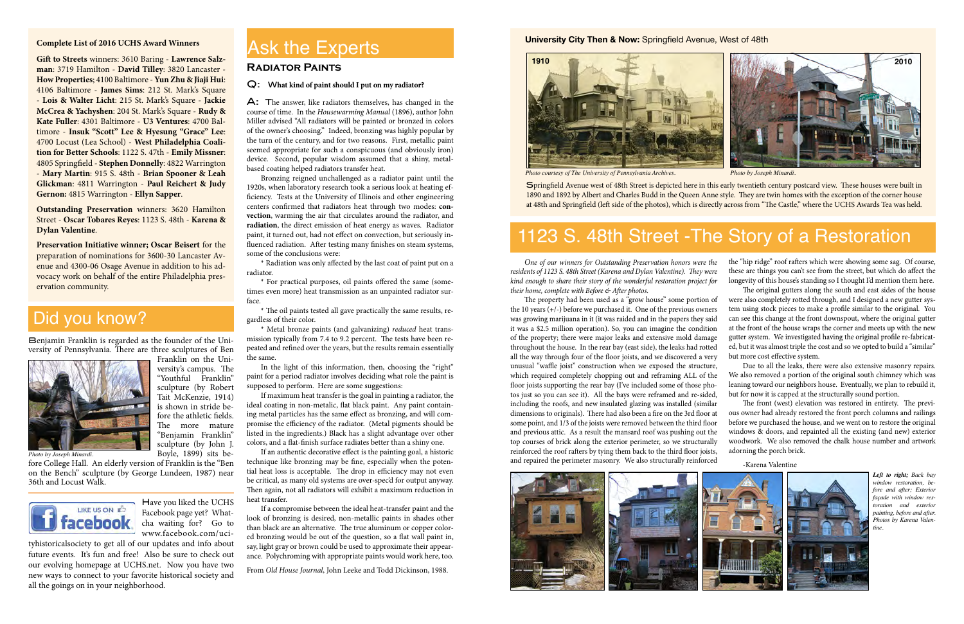#### **Complete List of 2016 UCHS Award Winners**

#### Q: W**hat kind of paint should I put on my radiator?**

A: The answer, like radiators themselves, has changed in the course of time. In the *Housewarming Manual* (1896), author John Miller advised "All radiators will be painted or bronzed in colors of the owner's choosing." Indeed, bronzing was highly popular by the turn of the century, and for two reasons. First, metallic paint seemed appropriate for such a conspicuous (and obviously iron) device. Second, popular wisdom assumed that a shiny, metalbased coating helped radiators transfer heat.

In the light of this information, then, choosing the "right" paint for a period radiator involves deciding what role the paint is supposed to perform. Here are some suggestions:

Bronzing reigned unchallenged as a radiator paint until the 1920s, when laboratory research took a serious look at heating efficiency. Tests at the University of Illinois and other engineering centers confirmed that radiators heat through two modes: **convection**, warming the air that circulates around the radiator, and **radiation**, the direct emission of heat energy as waves. Radiator paint, it turned out, had not effect on convection, but seriously influenced radiation. After testing many finishes on steam systems, some of the conclusions were:

\* Radiation was only affected by the last coat of paint put on a radiator.

\* For practical purposes, oil paints offered the same (sometimes even more) heat transmission as an unpainted radiator surface.

\* The oil paints tested all gave practically the same results, regardless of their color.

\* Metal bronze paints (and galvanizing) *reduced* heat transmission typically from 7.4 to 9.2 percent. The tests have been repeated and refined over the years, but the results remain essentially the same.

If maximum heat transfer is the goal in painting a radiator, the ideal coating in non-metalic, flat black paint. Any paint containing metal particles has the same effect as bronzing, and will compromise the efficiency of the radiator. (Metal pigments should be listed in the ingredients.) Black has a slight advantage over other colors, and a flat-finish surface radiates better than a shiny one.

If an authentic decorative effect is the painting goal, a historic technique like bronzing may be fine, especially when the potential heat loss is acceptable. The drop in efficiency may not even be critical, as many old systems are over-spec'd for output anyway. Then again, not all radiators will exhibit a maximum reduction in heat transfer.

If a compromise between the ideal heat-transfer paint and the look of bronzing is desired, non-metallic paints in shades other than black are an alternative. The true aluminum or copper colored bronzing would be out of the question, so a flat wall paint in, say, light gray or brown could be used to approximate their appearance. Polychroming with appropriate paints would work here, too.

From *Old House Journal*, John Leeke and Todd Dickinson, 1988.

## **Radiator Paints**

## Ask the Experts



Springfield Avenue west of 48th Street is depicted here in this early twentieth century postcard view. These houses were built in 1890 and 1892 by Albert and Charles Budd in the Queen Anne style. They are twin homes with the exception of the corner house at 48th and Springfield (left side of the photos), which is directly across from "The Castle," where the UCHS Awards Tea was held.

The property had been used as a "grow house" some portion of the 10 years  $(+/-)$  before we purchased it. One of the previous owners was growing marijuana in it (it was raided and in the papers they said it was a \$2.5 million operation). So, you can imagine the condition of the property; there were major leaks and extensive mold damage throughout the house. In the rear bay (east side), the leaks had rotted all the way through four of the floor joists, and we discovered a very unusual "waffle joist" construction when we exposed the structure, which required completely chopping out and reframing ALL of the floor joists supporting the rear bay (I've included some of those photos just so you can see it). All the bays were reframed and re-sided, including the roofs, and new insulated glazing was installed (similar dimensions to originals). There had also been a fire on the 3rd floor at some point, and 1/3 of the joists were removed between the third floor and previous attic. As a result the mansard roof was pushing out the top courses of brick along the exterior perimeter, so we structurally reinforced the roof rafters by tying them back to the third floor joists, and repaired the perimeter masonry. We also structurally reinforced were also completely rotted through, and I designed a new gutter system using stock pieces to make a profile similar to the original. You can see this change at the front downspout, where the original gutter at the front of the house wraps the corner and meets up with the new gutter system. We investigated having the original profile re-fabricated, but it was almost triple the cost and so we opted to build a "similar" but more cost effective system. Due to all the leaks, there were also extensive masonry repairs. We also removed a portion of the original south chimney which was leaning toward our neighbors house. Eventually, we plan to rebuild it, but for now it is capped at the structurally sound portion. The front (west) elevation was restored in entirety. The previous owner had already restored the front porch columns and railings before we purchased the house, and we went on to restore the original windows & doors, and repainted all the existing (and new) exterior woodwork. We also removed the chalk house number and artwork adorning the porch brick.



#### **University City Then & Now:** Springfield Avenue, West of 48th

## Did you know?

Benjamin Franklin is regarded as the founder of the University of Pennsylvania. There are three sculptures of Ben



Franklin on the University's campus. The "Youthful Franklin" sculpture (by Robert Tait McKenzie, 1914) is shown in stride before the athletic fields. The more mature "Benjamin Franklin" sculpture (by John J. Boyle, 1899) sits be-

fore College Hall. An elderly version of Franklin is the "Ben on the Bench" sculpture (by George Lundeen, 1987) near 36th and Locust Walk.



*Photo by Joseph Minardi.*

*One of our winners for Outstanding Preservation honors were the residents of 1123 S. 48th Street (Karena and Dylan Valentine). They were kind enough to share their story of the wonderful restoration project for their home, complete with Before & After photos*. the "hip ridge" roof rafters which were showing some sag. Of course, these are things you can't see from the street, but which do affect the longevity of this house's standing so I thought I'd mention them here. The original gutters along the south and east sides of the house

-Karena Valentine

## 1123 S. 48th Street -The Story of a Restoration

*Left to right; Back bay window restoration, before and after; Exterior façade with window restoration and exterior painting, before and after. Photos by Karena Valentine.*

**Gift to Streets** winners: 3610 Baring - **Lawrence Salzman**: 3719 Hamilton - **David Tilley**: 3820 Lancaster - **How Properties**; 4100 Baltimore - **Yun Zhu & Jiaji Hui**: 4106 Baltimore - **James Sims**: 212 St. Mark's Square - **Lois & Walter Licht**: 215 St. Mark's Square - **Jackie McCrea & Yachyshen**: 204 St. Mark's Square - **Rudy & Kate Fuller**: 4301 Baltimore - **U3 Ventures**: 4700 Baltimore - **Insuk "Scott" Lee & Hyesung "Grace" Lee**: 4700 Locust (Lea School) - **West Philadelphia Coalition for Better Schools**: 1122 S. 47th - **Emily Missner**: 4805 Springfield - **Stephen Donnelly**: 4822 Warrington - **Mary Martin**: 915 S. 48th - **Brian Spooner & Leah Glickman**: 4811 Warrington - **Paul Reichert & Judy Gernon:** 4815 Warrington - **Ellyn Sapper**.

**Outstanding Preservation** winners: 3620 Hamilton Street - **Oscar Tobares Reyes**: 1123 S. 48th - **Karena & Dylan Valentine**.

**Preservation Initiative winner; Oscar Beisert** for the preparation of nominations for 3600-30 Lancaster Avenue and 4300-06 Osage Avenue in addition to his advocacy work on behalf of the entire Philadelphia preservation community.

> Have you liked the UCHS Facebook page yet? Whatcha waiting for? Go to www.facebook.com/uci-

tyhistoricalsociety to get all of our updates and info about future events. It's fun and free! Also be sure to check out our evolving homepage at UCHS.net. Now you have two new ways to connect to your favorite historical society and all the goings on in your neighborhood.